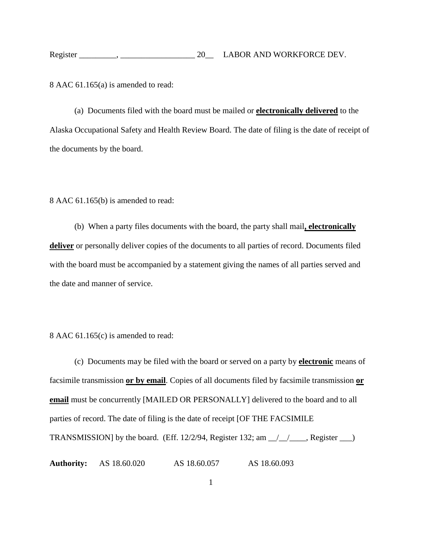8 AAC 61.165(a) is amended to read:

(a) Documents filed with the board must be mailed or **electronically delivered** to the Alaska Occupational Safety and Health Review Board. The date of filing is the date of receipt of the documents by the board.

## 8 AAC 61.165(b) is amended to read:

(b) When a party files documents with the board, the party shall mail**, electronically deliver** or personally deliver copies of the documents to all parties of record. Documents filed with the board must be accompanied by a statement giving the names of all parties served and the date and manner of service.

## 8 AAC 61.165(c) is amended to read:

(c) Documents may be filed with the board or served on a party by **electronic** means of facsimile transmission **or by email**. Copies of all documents filed by facsimile transmission **or email** must be concurrently [MAILED OR PERSONALLY] delivered to the board and to all parties of record. The date of filing is the date of receipt [OF THE FACSIMILE TRANSMISSION] by the board. (Eff.  $12/2/94$ , Register  $132$ ; am  $\angle$   $\angle$   $\angle$   $\angle$  Register  $\angle$ 

**Authority:** AS 18.60.020 AS 18.60.057 AS 18.60.093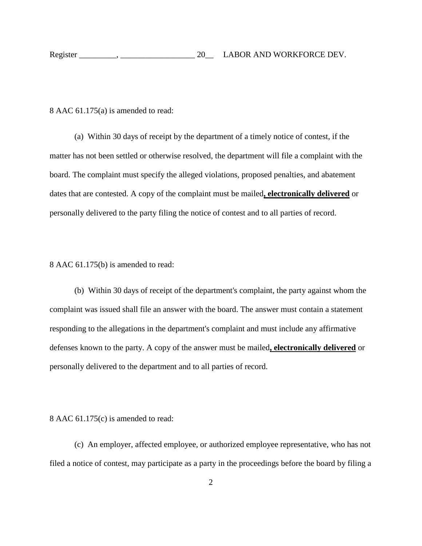| Register |  | LABOR AND WORKFORCE DEV. |
|----------|--|--------------------------|
|----------|--|--------------------------|

8 AAC 61.175(a) is amended to read:

(a) Within 30 days of receipt by the department of a timely notice of contest, if the matter has not been settled or otherwise resolved, the department will file a complaint with the board. The complaint must specify the alleged violations, proposed penalties, and abatement dates that are contested. A copy of the complaint must be mailed**, electronically delivered** or personally delivered to the party filing the notice of contest and to all parties of record.

8 AAC 61.175(b) is amended to read:

(b) Within 30 days of receipt of the department's complaint, the party against whom the complaint was issued shall file an answer with the board. The answer must contain a statement responding to the allegations in the department's complaint and must include any affirmative defenses known to the party. A copy of the answer must be mailed**, electronically delivered** or personally delivered to the department and to all parties of record.

8 AAC 61.175(c) is amended to read:

(c) An employer, affected employee, or authorized employee representative, who has not filed a notice of contest, may participate as a party in the proceedings before the board by filing a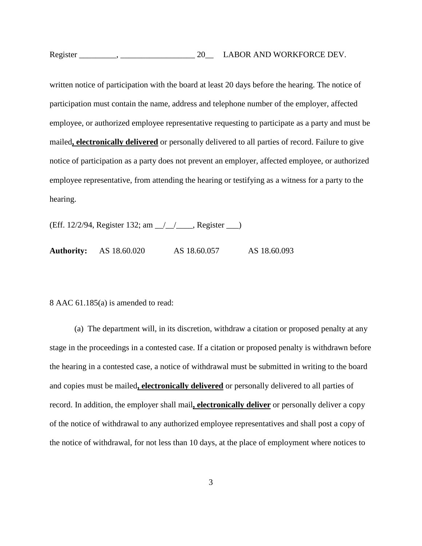| Register | LABOR AND WORKFORCE DEV. |
|----------|--------------------------|
|----------|--------------------------|

written notice of participation with the board at least 20 days before the hearing. The notice of participation must contain the name, address and telephone number of the employer, affected employee, or authorized employee representative requesting to participate as a party and must be mailed**, electronically delivered** or personally delivered to all parties of record. Failure to give notice of participation as a party does not prevent an employer, affected employee, or authorized employee representative, from attending the hearing or testifying as a witness for a party to the hearing.

(Eff. 12/2/94, Register 132; am \_\_/\_\_/\_\_\_\_, Register \_\_\_)

**Authority:** AS 18.60.020 AS 18.60.057 AS 18.60.093

8 AAC 61.185(a) is amended to read:

(a) The department will, in its discretion, withdraw a citation or proposed penalty at any stage in the proceedings in a contested case. If a citation or proposed penalty is withdrawn before the hearing in a contested case, a notice of withdrawal must be submitted in writing to the board and copies must be mailed**, electronically delivered** or personally delivered to all parties of record. In addition, the employer shall mail**, electronically deliver** or personally deliver a copy of the notice of withdrawal to any authorized employee representatives and shall post a copy of the notice of withdrawal, for not less than 10 days, at the place of employment where notices to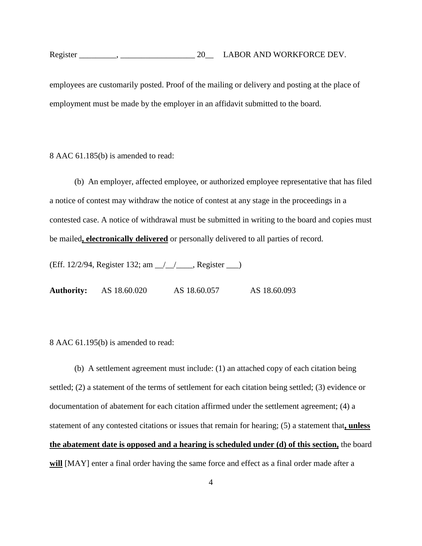employees are customarily posted. Proof of the mailing or delivery and posting at the place of employment must be made by the employer in an affidavit submitted to the board.

8 AAC 61.185(b) is amended to read:

(b) An employer, affected employee, or authorized employee representative that has filed a notice of contest may withdraw the notice of contest at any stage in the proceedings in a contested case. A notice of withdrawal must be submitted in writing to the board and copies must be mailed**, electronically delivered** or personally delivered to all parties of record.

(Eff. 12/2/94, Register 132; am \_\_/\_\_/\_\_\_\_, Register \_\_\_)

**Authority:** AS 18.60.020 AS 18.60.057 AS 18.60.093

8 AAC 61.195(b) is amended to read:

(b) A settlement agreement must include: (1) an attached copy of each citation being settled; (2) a statement of the terms of settlement for each citation being settled; (3) evidence or documentation of abatement for each citation affirmed under the settlement agreement; (4) a statement of any contested citations or issues that remain for hearing; (5) a statement that**, unless the abatement date is opposed and a hearing is scheduled under (d) of this section,** the board **will** [MAY] enter a final order having the same force and effect as a final order made after a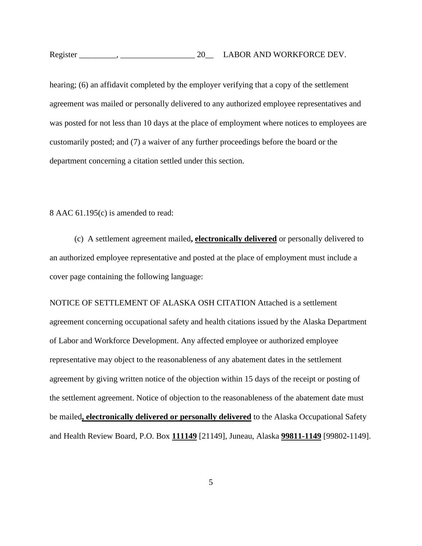hearing; (6) an affidavit completed by the employer verifying that a copy of the settlement agreement was mailed or personally delivered to any authorized employee representatives and was posted for not less than 10 days at the place of employment where notices to employees are customarily posted; and (7) a waiver of any further proceedings before the board or the department concerning a citation settled under this section.

8 AAC 61.195(c) is amended to read:

(c) A settlement agreement mailed**, electronically delivered** or personally delivered to an authorized employee representative and posted at the place of employment must include a cover page containing the following language:

NOTICE OF SETTLEMENT OF ALASKA OSH CITATION Attached is a settlement agreement concerning occupational safety and health citations issued by the Alaska Department of Labor and Workforce Development. Any affected employee or authorized employee representative may object to the reasonableness of any abatement dates in the settlement agreement by giving written notice of the objection within 15 days of the receipt or posting of the settlement agreement. Notice of objection to the reasonableness of the abatement date must be mailed**, electronically delivered or personally delivered** to the Alaska Occupational Safety and Health Review Board, P.O. Box **111149** [21149], Juneau, Alaska **99811-1149** [99802**-**1149].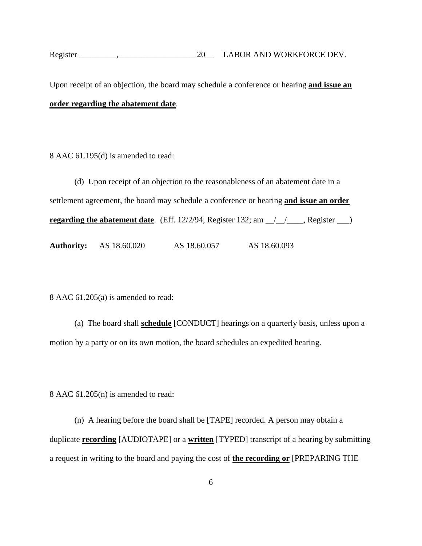Upon receipt of an objection, the board may schedule a conference or hearing **and issue an order regarding the abatement date**.

8 AAC 61.195(d) is amended to read:

(d) Upon receipt of an objection to the reasonableness of an abatement date in a settlement agreement, the board may schedule a conference or hearing **and issue an order regarding the abatement date**. (Eff.  $12/2/94$ , Register 132; am  $\angle$  /  $\angle$  Register  $\angle$ )

**Authority:** AS 18.60.020 AS 18.60.057 AS 18.60.093

8 AAC 61.205(a) is amended to read:

(a) The board shall **schedule** [CONDUCT] hearings on a quarterly basis, unless upon a motion by a party or on its own motion, the board schedules an expedited hearing.

8 AAC 61.205(n) is amended to read:

(n) A hearing before the board shall be [TAPE] recorded. A person may obtain a duplicate **recording** [AUDIOTAPE] or a **written** [TYPED] transcript of a hearing by submitting a request in writing to the board and paying the cost of **the recording or** [PREPARING THE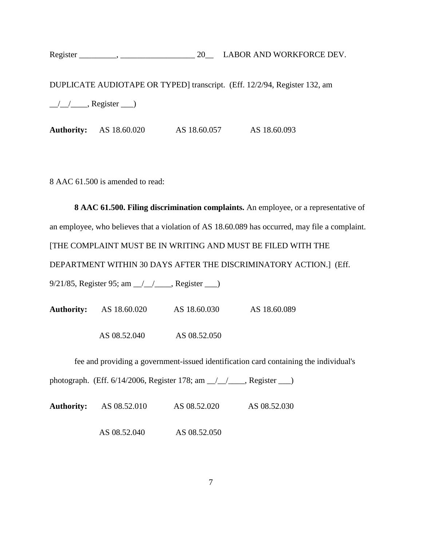DUPLICATE AUDIOTAPE OR TYPED] transcript. (Eff. 12/2/94, Register 132, am

 $\angle$   $\angle$   $\angle$   $\angle$  Register  $\angle$ 

**Authority:** AS 18.60.020 AS 18.60.057 AS 18.60.093

8 AAC 61.500 is amended to read:

**8 AAC 61.500. Filing discrimination complaints.** An employee, or a representative of an employee, who believes that a violation of AS 18.60.089 has occurred, may file a complaint. [THE COMPLAINT MUST BE IN WRITING AND MUST BE FILED WITH THE DEPARTMENT WITHIN 30 DAYS AFTER THE DISCRIMINATORY ACTION.] (Eff. 9/21/85, Register 95; am \_\_/\_\_/\_\_\_\_, Register \_\_\_)

**Authority:** AS 18.60.020 AS 18.60.030 AS 18.60.089 AS 08.52.040 AS 08.52.050

fee and providing a government-issued identification card containing the individual's

photograph. (Eff. 6/14/2006, Register 178; am \_\_/\_\_/\_\_\_\_, Register \_\_\_)

**Authority:** AS 08.52.010 AS 08.52.020 AS 08.52.030

AS 08.52.040 AS 08.52.050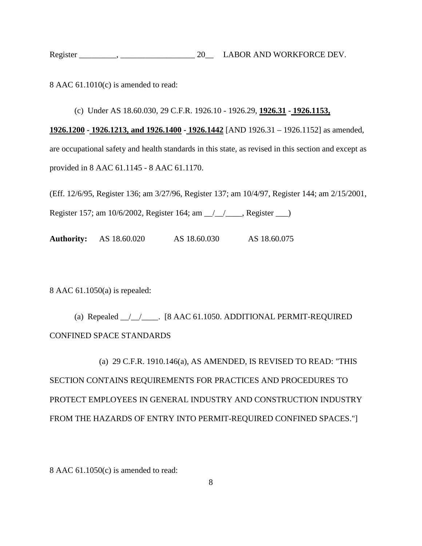| Register | LABOR AND WORKFORCE DEV. |
|----------|--------------------------|
|----------|--------------------------|

8 AAC 61.1010(c) is amended to read:

## (c) Under AS 18.60.030, 29 C.F.R. 1926.10 - 1926.29, **1926.31 - 1926.1153,**

**1926.1200 - 1926.1213, and 1926.1400 - 1926.1442** [AND 1926.31 – 1926.1152] as amended, are occupational safety and health standards in this state, as revised in this section and except as provided in 8 AAC 61.1145 - 8 AAC 61.1170.

(Eff. 12/6/95, Register 136; am 3/27/96, Register 137; am 10/4/97, Register 144; am 2/15/2001,

Register 157; am 10/6/2002, Register 164; am \_\_/\_\_/\_\_\_\_, Register \_\_\_)

**Authority:** AS 18.60.020 AS 18.60.030 AS 18.60.075

8 AAC 61.1050(a) is repealed:

(a) Repealed \_\_/\_\_/\_\_\_\_. [8 AAC 61.1050. ADDITIONAL PERMIT-REQUIRED CONFINED SPACE STANDARDS

(a) 29 C.F.R. 1910.146(a), AS AMENDED, IS REVISED TO READ: "THIS SECTION CONTAINS REQUIREMENTS FOR PRACTICES AND PROCEDURES TO PROTECT EMPLOYEES IN GENERAL INDUSTRY AND CONSTRUCTION INDUSTRY FROM THE HAZARDS OF ENTRY INTO PERMIT-REQUIRED CONFINED SPACES."]

8 AAC 61.1050(c) is amended to read: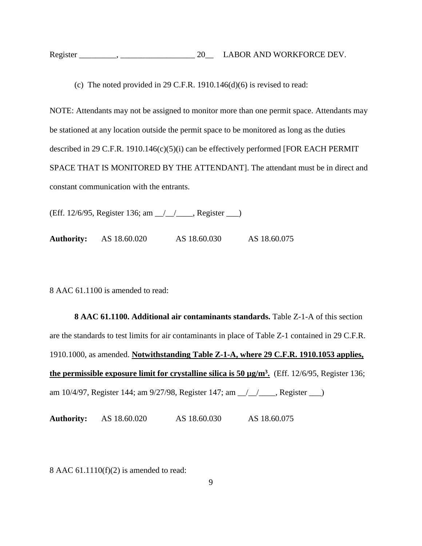| Register | LABOR AND WORKFORCE DEV. |
|----------|--------------------------|
|----------|--------------------------|

(c) The noted provided in 29 C.F.R. 1910.146 $(d)(6)$  is revised to read:

NOTE: Attendants may not be assigned to monitor more than one permit space. Attendants may be stationed at any location outside the permit space to be monitored as long as the duties described in 29 C.F.R. 1910.146(c)(5)(i) can be effectively performed [FOR EACH PERMIT SPACE THAT IS MONITORED BY THE ATTENDANT]. The attendant must be in direct and constant communication with the entrants.

(Eff. 12/6/95, Register 136; am \_\_/\_\_/\_\_\_\_, Register \_\_\_)

**Authority:** AS 18.60.020 AS 18.60.030 AS 18.60.075

8 AAC 61.1100 is amended to read:

**8 AAC 61.1100. Additional air contaminants standards.** Table Z-1-A of this section are the standards to test limits for air contaminants in place of Table Z-1 contained in 29 C.F.R. 1910.1000, as amended. **Notwithstanding Table Z-1-A, where 29 C.F.R. 1910.1053 applies, the permissible exposure limit for crystalline silica is 50 µg/m3.** (Eff. 12/6/95, Register 136; am 10/4/97, Register 144; am 9/27/98, Register 147; am \_\_/\_\_/\_\_\_\_, Register \_\_\_)

**Authority:** AS 18.60.020 AS 18.60.030 AS 18.60.075

8 AAC 61.1110(f)(2) is amended to read: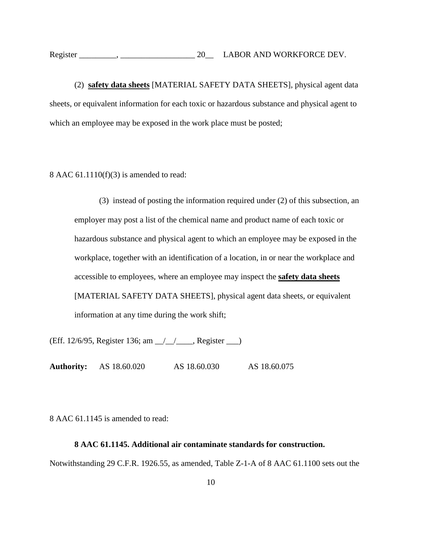(2) **safety data sheets** [MATERIAL SAFETY DATA SHEETS], physical agent data sheets, or equivalent information for each toxic or hazardous substance and physical agent to which an employee may be exposed in the work place must be posted;

8 AAC 61.1110(f)(3) is amended to read:

(3) instead of posting the information required under (2) of this subsection, an employer may post a list of the chemical name and product name of each toxic or hazardous substance and physical agent to which an employee may be exposed in the workplace, together with an identification of a location, in or near the workplace and accessible to employees, where an employee may inspect the **safety data sheets** [MATERIAL SAFETY DATA SHEETS], physical agent data sheets, or equivalent information at any time during the work shift;

(Eff. 12/6/95, Register 136; am \_\_/\_\_/\_\_\_\_, Register \_\_\_)

**Authority:** AS 18.60.020 AS 18.60.030 AS 18.60.075

8 AAC 61.1145 is amended to read:

## **8 AAC 61.1145. Additional air contaminate standards for construction.**

Notwithstanding 29 C.F.R. 1926.55, as amended, Table Z-1-A of 8 AAC 61.1100 sets out the